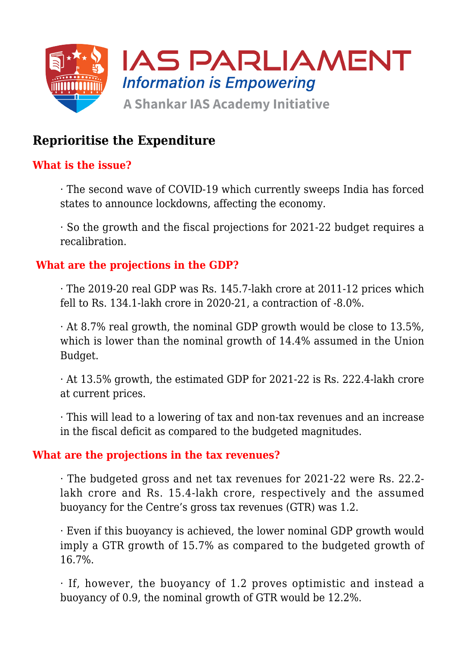

# **Reprioritise the Expenditure**

# **What is the issue?**

· The second wave of COVID-19 which currently sweeps India has forced states to announce lockdowns, affecting the economy.

· So the growth and the fiscal projections for 2021-22 budget requires a recalibration.

#### **What are the projections in the GDP?**

· The 2019-20 real GDP was Rs. 145.7-lakh crore at 2011-12 prices which fell to Rs. 134.1-lakh crore in 2020-21, a contraction of -8.0%.

· At 8.7% real growth, the nominal GDP growth would be close to 13.5%, which is lower than the nominal growth of 14.4% assumed in the Union Budget.

· At 13.5% growth, the estimated GDP for 2021-22 is Rs. 222.4-lakh crore at current prices.

· This will lead to a lowering of tax and non-tax revenues and an increase in the fiscal deficit as compared to the budgeted magnitudes.

#### **What are the projections in the tax revenues?**

· The budgeted gross and net tax revenues for 2021-22 were Rs. 22.2 lakh crore and Rs. 15.4-lakh crore, respectively and the assumed buoyancy for the Centre's gross tax revenues (GTR) was 1.2.

· Even if this buoyancy is achieved, the lower nominal GDP growth would imply a GTR growth of 15.7% as compared to the budgeted growth of 16.7%.

· If, however, the buoyancy of 1.2 proves optimistic and instead a buoyancy of 0.9, the nominal growth of GTR would be 12.2%.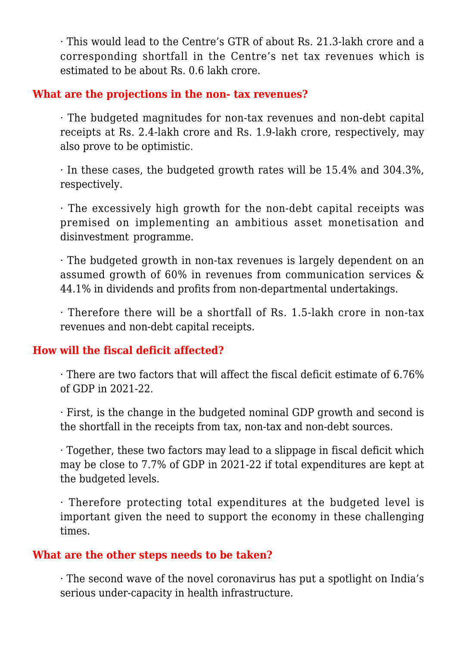· This would lead to the Centre's GTR of about Rs. 21.3-lakh crore and a corresponding shortfall in the Centre's net tax revenues which is estimated to be about Rs. 0.6 lakh crore.

### **What are the projections in the non- tax revenues?**

· The budgeted magnitudes for non-tax revenues and non-debt capital receipts at Rs. 2.4-lakh crore and Rs. 1.9-lakh crore, respectively, may also prove to be optimistic.

· In these cases, the budgeted growth rates will be 15.4% and 304.3%, respectively.

· The excessively high growth for the non-debt capital receipts was premised on implementing an ambitious asset monetisation and disinvestment programme.

· The budgeted growth in non-tax revenues is largely dependent on an assumed growth of 60% in revenues from communication services & 44.1% in dividends and profits from non-departmental undertakings.

· Therefore there will be a shortfall of Rs. 1.5-lakh crore in non-tax revenues and non-debt capital receipts.

# **How will the fiscal deficit affected?**

· There are two factors that will affect the fiscal deficit estimate of 6.76% of GDP in 2021-22.

· First, is the change in the budgeted nominal GDP growth and second is the shortfall in the receipts from tax, non-tax and non-debt sources.

· Together, these two factors may lead to a slippage in fiscal deficit which may be close to 7.7% of GDP in 2021-22 if total expenditures are kept at the budgeted levels.

· Therefore protecting total expenditures at the budgeted level is important given the need to support the economy in these challenging times.

# **What are the other steps needs to be taken?**

· The second wave of the novel coronavirus has put a spotlight on India's serious under-capacity in health infrastructure.